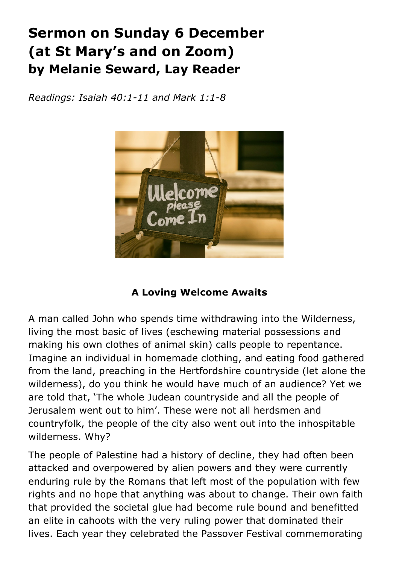# **Sermon on Sunday 6 December (at St Mary's and on Zoom) by Melanie Seward, Lay Reader**

*Readings: Isaiah 40:1-11 and Mark 1:1-8*



# **A Loving Welcome Awaits**

A man called John who spends time withdrawing into the Wilderness, living the most basic of lives (eschewing material possessions and making his own clothes of animal skin) calls people to repentance. Imagine an individual in homemade clothing, and eating food gathered from the land, preaching in the Hertfordshire countryside (let alone the wilderness), do you think he would have much of an audience? Yet we are told that, 'The whole Judean countryside and all the people of Jerusalem went out to him'. These were not all herdsmen and countryfolk, the people of the city also went out into the inhospitable wilderness. Why?

The people of Palestine had a history of decline, they had often been attacked and overpowered by alien powers and they were currently enduring rule by the Romans that left most of the population with few rights and no hope that anything was about to change. Their own faith that provided the societal glue had become rule bound and benefitted an elite in cahoots with the very ruling power that dominated their lives. Each year they celebrated the Passover Festival commemorating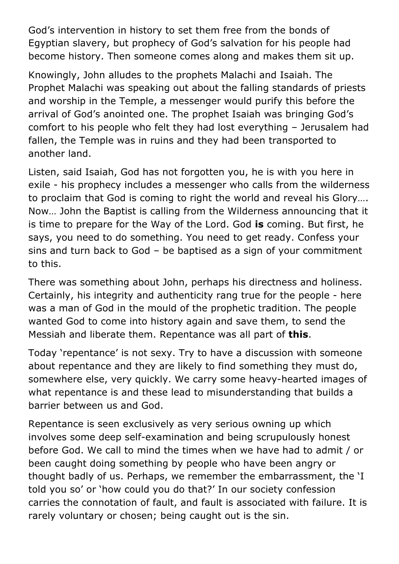God's intervention in history to set them free from the bonds of Egyptian slavery, but prophecy of God's salvation for his people had become history. Then someone comes along and makes them sit up.

Knowingly, John alludes to the prophets Malachi and Isaiah. The Prophet Malachi was speaking out about the falling standards of priests and worship in the Temple, a messenger would purify this before the arrival of God's anointed one. The prophet Isaiah was bringing God's comfort to his people who felt they had lost everything – Jerusalem had fallen, the Temple was in ruins and they had been transported to another land.

Listen, said Isaiah, God has not forgotten you, he is with you here in exile - his prophecy includes a messenger who calls from the wilderness to proclaim that God is coming to right the world and reveal his Glory…. Now… John the Baptist is calling from the Wilderness announcing that it is time to prepare for the Way of the Lord. God **is** coming. But first, he says, you need to do something. You need to get ready. Confess your sins and turn back to God – be baptised as a sign of your commitment to this.

There was something about John, perhaps his directness and holiness. Certainly, his integrity and authenticity rang true for the people - here was a man of God in the mould of the prophetic tradition. The people wanted God to come into history again and save them, to send the Messiah and liberate them. Repentance was all part of **this**.

Today 'repentance' is not sexy. Try to have a discussion with someone about repentance and they are likely to find something they must do, somewhere else, very quickly. We carry some heavy-hearted images of what repentance is and these lead to misunderstanding that builds a barrier between us and God.

Repentance is seen exclusively as very serious owning up which involves some deep self-examination and being scrupulously honest before God. We call to mind the times when we have had to admit / or been caught doing something by people who have been angry or thought badly of us. Perhaps, we remember the embarrassment, the 'I told you so' or 'how could you do that?' In our society confession carries the connotation of fault, and fault is associated with failure. It is rarely voluntary or chosen; being caught out is the sin.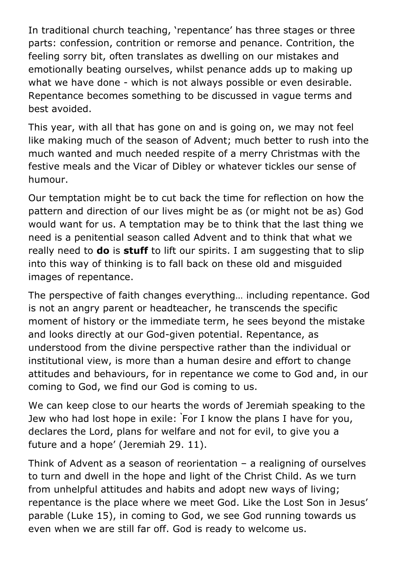In traditional church teaching, 'repentance' has three stages or three parts: confession, contrition or remorse and penance. Contrition, the feeling sorry bit, often translates as dwelling on our mistakes and emotionally beating ourselves, whilst penance adds up to making up what we have done - which is not always possible or even desirable. Repentance becomes something to be discussed in vague terms and best avoided.

This year, with all that has gone on and is going on, we may not feel like making much of the season of Advent; much better to rush into the much wanted and much needed respite of a merry Christmas with the festive meals and the Vicar of Dibley or whatever tickles our sense of humour.

Our temptation might be to cut back the time for reflection on how the pattern and direction of our lives might be as (or might not be as) God would want for us. A temptation may be to think that the last thing we need is a penitential season called Advent and to think that what we really need to **do** is **stuff** to lift our spirits. I am suggesting that to slip into this way of thinking is to fall back on these old and misguided images of repentance.

The perspective of faith changes everything… including repentance. God is not an angry parent or headteacher, he transcends the specific moment of history or the immediate term, he sees beyond the mistake and looks directly at our God-given potential. Repentance, as understood from the divine perspective rather than the individual or institutional view, is more than a human desire and effort to change attitudes and behaviours, for in repentance we come to God and, in our coming to God, we find our God is coming to us.

We can keep close to our hearts the words of Jeremiah speaking to the Jew who had lost hope in exile: **'** For I know the plans I have for you, declares the Lord, plans for welfare and not for evil, to give you a future and a hope' (Jeremiah 29. 11).

Think of Advent as a season of reorientation – a realigning of ourselves to turn and dwell in the hope and light of the Christ Child. As we turn from unhelpful attitudes and habits and adopt new ways of living; repentance is the place where we meet God. Like the Lost Son in Jesus' parable (Luke 15), in coming to God, we see God running towards us even when we are still far off. God is ready to welcome us.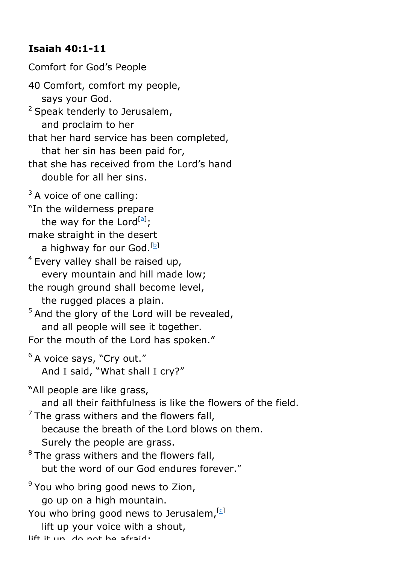# **Isaiah 40:1-11**

Comfort for God's People 40 Comfort, comfort my people, says your God. <sup>2</sup> Speak tenderly to Jerusalem, and proclaim to her that her hard service has been completed, that her sin has been paid for, that she has received from the Lord's hand double for all her sins.  $3A$  voice of one calling: "In the wilderness prepare the way for the Lord<sup>[a]</sup>; make straight in the desert a highway for our God.<sup>[b]</sup> <sup>4</sup> Every valley shall be raised up, every mountain and hill made low; the rough ground shall become level, the rugged places a plain.  $5$  And the glory of the Lord will be revealed, and all people will see it together. For the mouth of the Lord has spoken." <sup>6</sup> A voice says, "Cry out." And I said, "What shall I cry?" "All people are like grass, and all their faithfulness is like the flowers of the field.  $<sup>7</sup>$  The grass withers and the flowers fall,</sup> because the breath of the Lord blows on them. Surely the people are grass.  $8$  The grass withers and the flowers fall, but the word of our God endures forever." <sup>9</sup> You who bring good news to Zion, go up on a high mountain. You who bring good news to Jerusalem, [C] lift up your voice with a shout, lift it un do not he afraid;